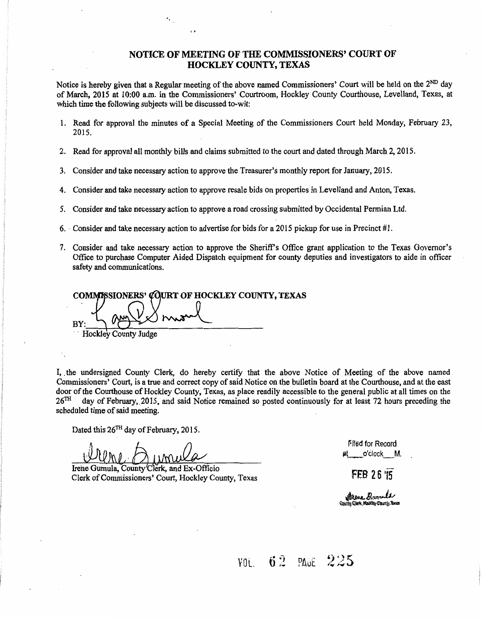#### NOTICE OF MEETING OF THE COMMISSIONERS' COURT OF HOCKLEY COUNTY, TEXAS

Notice is hereby given that a Regular meeting of the above named Commissioners' Court will be held on the  $2^{ND}$  day of March, 2015 at 10:00 a.m. in the Commissioners' Courtroom, Hockley County Courthouse, Levelland, Texas, at which time the following subjects will be discussed to-wit:

- 1. Read for approval the minutes of a Special Meeting of the Commissioners Court held Monday, February 23, 2015.
- 2. Read for approval all monthly bills and claims submitted to the court and dated through March 2, 2015.
- 3. Consider and take necessary action to approve the Treasurer's monthly report for January, 2015.
- 4. Consider and take necessary action to approve resale bids on properties in Levelland and Anton, Texas.
- 5. Consider and take necessary action to approve a road crossing submitted by Occidental Permian Ltd.
- 6. Consider and take necessary action to advertise for bids for a 2015 pickup for use in Precinct #1.
- 7. Consider and take necessary action to approve the Sheriffs Office grant application to the Texas Governor's Office to purchase Computer Aided Dispatch equipment for county deputies and investigators to aide in officer safety and communications.

**COMMISSIONERS' COURT OF HOCKLEY COUNTY, TEXAS** BY:

·.

Hockley County Judge

I, the undersigned County Clerk, do hereby certify that the above Notice of Meeting of the above named Commissioners' Court, is a true and correct copy of said Notice on the bulletin board at the Courthouse, and at the east door of the Courthouse of Hockley County, Texas, as place readily accessible to the general public at all times on the  $26<sup>TH</sup>$  day of February. 2015, and said Notice remained so posted continuously for at least 72 hou day of February, 2015, and said Notice remained so posted continuously for at least 72 hours preceding the scheduled time of said meeting.

Dated this  $26<sup>TH</sup>$  day of February, 2015.

Irene Gumula, County Clerk, and Ex-Officio Clerk of Commissioners' Court, Hockley County, Texas

r'f1ed for Record at o'clock M.

**FEB 26 '15** 

**with case, Hum-all**<br>County: Clark, Hoskiny County, Texas

vol. 62 pa<del>ue</del> 225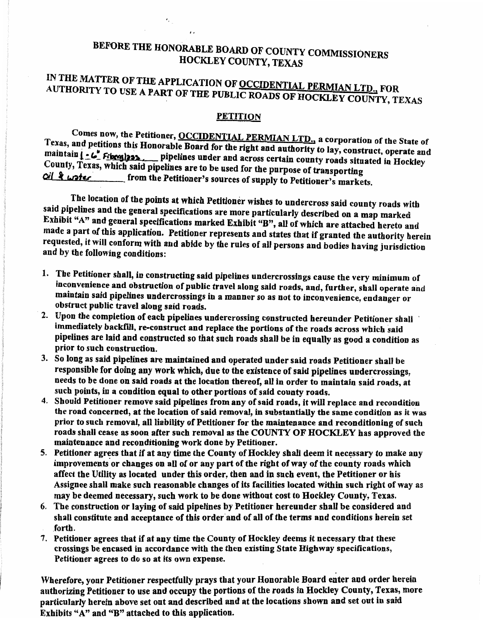### BEFORE THE HONORABLE BOARD OF COUNTY COMMISSIONERS HOCKLEY COUNTY, TEXAS

i,

## IN THE MATTER OF THE APPLICATION OF OCCIDENTIAL PERMIAN LTD., FOR AUTHORITY TO USE A PART OF THE PUBLIC ROADS OF HOCKLEY COUNTY, TEXAS

#### **PETITION**

Comes now, the Petitioner, OCCIDENTIAL PERMIAN LTD., a corporation of the State of Texas, and petitions this Honorable Board for the right and authority to lay, construct, operate and maintain  $\left[ \cdot \right]$ . Figures ... pipelines under and across certain county roads situated in Hockley County, Texas, which said pipelines are to be used for the purpose of transporting Oil & water from the Petitioner's sources of supply to Petitioner's markets.

The location of the points at which Petitioner wishes to undercross said county roads with said pipelines and the general specifications are more particularly described on a map marked Exhibit "A" and general specifications marked Exhibit "B", all of which are attached hereto and made a part of this application. Petitioner represents and states that if granted the authority herein requested, it will conform with and abide by the rules of all persons and bodies having jurisdiction and by the following conditions:

- 1. The Petitioner shall, in constructing said pipelines undercrossings cause the very minimum of inconvenience and obstruction of public travel along said roads, and, further, shall operate and maintain said pipelines undercrossings in a manner so as not to inconvenience, endanger or obstruct public travel along said roads.
- 2. Upon the completion of each pipelines undercrossing constructed hereunder Petitioner shall immediately backfill, re-construct and replace the portions of the roads across which said pipelines are laid and constructed so that such roads shall be in equally as good a condition as prior to such construction.
- 3. So long as said pipelines are maintained and operated under said roads Petitioner shall be responsible for doing any work which, due to the existence of said pipelines undercrossings, needs to be done on said roads at the location thereof, all in order to maintain said roads, at such points, in a condition equal to other portions of said county roads.
- 4. Should Petitioner remove said pipelines from any of said roads, it will replace and recondition the road concerned, at the location of said removal, in substantially the same condition as it was prior to such removal, all liability of Petitioner for the maintenance and reconditioning of such roads shall cease as soon after such removal as the COUNTY OF HOCKLEY bas approved the maintenance and reconditioning work done by Petitioner.
- 5. Petitioner agrees that if at any time the County of Hockley shall deem it necessary to make any improvements or changes on all of or any part of the right of way of the county roads which affect the Utility as located under this order, then and in such event, the Petitioner or bis Assignee shall make such reasonable changes of its facilities located within such right of way a§ may be deemed necessary, such work to be done without cost to Hockley County, Texas.
- 6. The construction or laying of said pipelines by Petitioner hereunder shall be considered and shall constitute and acceptance of this order and of all of the terms and conditions herein set .forth.
- 7. Petitioner agrees that if at any time the County of Hockley deems it necessary that these crossings be encased in accordance with the then existing State Highway specifications, Petitioner agrees to do so at its own expense.

Wherefore, your Petitioner respectfully prays that your Honorable Board enter and order herein authorizing Petitioner to use and occupy the portions of the roads in Hockley County, Texas, more particularly herein above set out and described and at the locations shown and set out in said Exhibits "A" and "B'' attached to this application.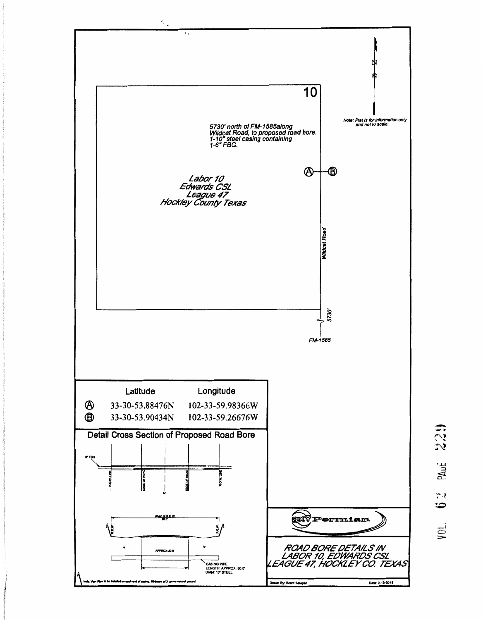

539 PAUE  $\tilde{\cdot}$ حنة VOL.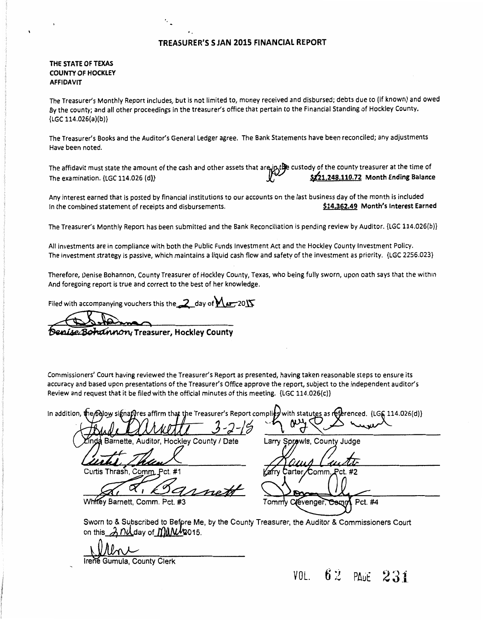#### TREASURER'S S JAN 2015 FINANCIAL REPORT

#### THE STATE OF TEXAS COUNTY OF HOCKLEY AFFIDAVIT

The Treasurer's Monthly Report includes, but is not limited to, money received and disbursed; debts due to (if known) and owed By the county; and all other proceedings in the treasurer's office that pertain to the Financial Standing of Hockley County.  ${LGC 114.026(a)(b)}$ 

The Treasurer's Books and the Auditor's General Ledger agree. The Bank Statements have been reconciled; any adjustments Have been noted.

The affidavit must state the amount of the cash and other assets that are in the custody of the county treasurer at the time of The examination. {LGC 114.026 (d)}  $\sqrt{\frac{1}{12}}$   $\sqrt{\frac{521,248,110.72}{5}}$  Month Ending Balance

Any interest earned that is posted by financial institutions to our accounts on the last business day of the month is included In the combined statement of receipts and disbursements. **\$14.362.49 Month's Interest Earned** 

The Treasurer's Monthly Report has been submitted and the Bank Reconciliation is pending review by Auditor. {LGC 114.026(b)}

All investments are in compliance with both the Public Funds Investment Act and the Hockley County Investment Policy. The investment strategy is passive, which maintains a liquid cash flow and safety of the investment as priority. {LGC 2256.023}

Therefore, Oenise Bohannon, County Treasurer of Hockley County, Texas, who being fully sworn, upon oath says that the within And foregoing report is true and correct to the best of her knowledge.

Filed with accompanying vouchers this the 2 day of  $M = 2015$ 

'.

Denise Bohannon, Treasurer, Hockley County

Commissioners' Court having reviewed the Treasurer's Report as presented, having taken reasonable steps to ensure its accuracy and based upon presentations of the Treasurer's Office approve the report, subject to the independent auditor's Review and request that it be filed with the official minutes of this meeting. {LGC 114.026(c)}

Report complies In addition,  $t$ s as réferenced.  $\{LG6 114.026(d)\}$ that the Treasure Hockley County / Date Larry Sprowls, County Judge Curtis Thrash, Comm. Pct. #1 :arte Comm Whitey Barnett, Comm. Pct. #3 Clevenger, Comn Pct. #4 Sworn to & Subscribed to Before Me, by the County Treasurer, the Auditor & Commissioners Court on this  $\lambda$   $N$ *day* of  $M$  $M$  $2015$ .

VOL.  $62$  PAGE  $231$ 

Irene Gumula, County Clerk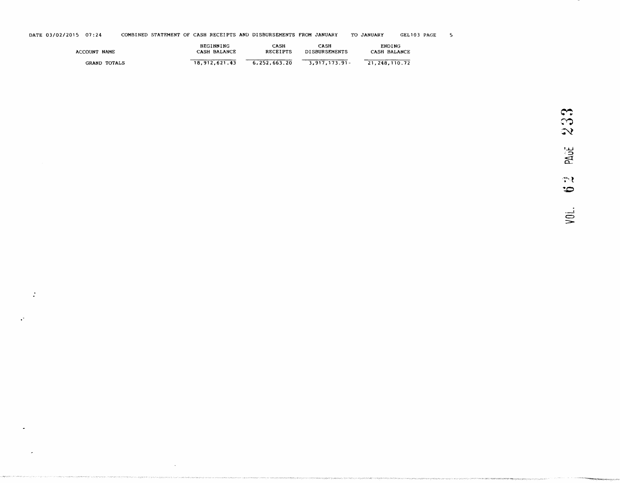| DATE 03/02/2015 07:24 | COMBINED STATEMENT OF CASH RECEIPTS AND DISBURSEMENTS FROM JANUARY | TO JANUARY | GEL103 PAGE |  |
|-----------------------|--------------------------------------------------------------------|------------|-------------|--|

| ACCOUNT NAME        | <b>BEGINNING</b> | CASH            | CASH          | <b>ENDING</b> |
|---------------------|------------------|-----------------|---------------|---------------|
|                     | CASH BALANCE     | <b>RECEIPTS</b> | DISBURSEMENTS | CASH BALANCE  |
| <b>GRAND TOTALS</b> | 18,912,621.43    | 6.252.663.20    | 3.917.173.91- | 21.248.110.72 |

 $\mathbb{R}^2$ 

 $\mathcal{C}$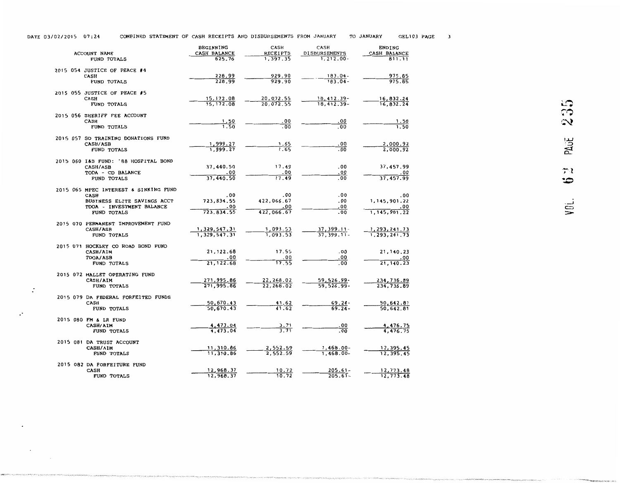| DATE 03/02/2015 07:24 |  |  |  | COMBINED STATEMENT OF CASH RECEIPTS AND DISBURSEMENTS FROM JANUARY | TO JANUARY | GEL103 PAGE |  |
|-----------------------|--|--|--|--------------------------------------------------------------------|------------|-------------|--|
|-----------------------|--|--|--|--------------------------------------------------------------------|------------|-------------|--|

| ACCOUNT NAME                                         | BEGINNING<br>CASH BALANCE | CASH<br><b>RECEIPTS</b> | CASH<br><b>DISBURSEMENTS</b> | <b>ENDING</b><br>CASH BALANCE |
|------------------------------------------------------|---------------------------|-------------------------|------------------------------|-------------------------------|
| <b>FUND TOTALS</b>                                   | 625.76                    | 1.397.35                | $1.212.00 -$                 | 811.11                        |
| 2015 054 JUSTICE OF PEACE #4                         |                           |                         |                              |                               |
| CASH                                                 | 228.99                    | 929.90                  | $183.04 -$                   | 975.85                        |
| FUND TOTALS                                          | 228.99                    | 929.90                  | $183.04 -$                   | 975.85                        |
| 2015 055 JUSTICE OF PEACE #5                         |                           |                         |                              |                               |
| CASH                                                 | 15, 172.08                | 20,072.55               | 18,412.39-                   | 16,832.24                     |
| FUND TOTALS                                          | 15, 172.08                | 20,072.55               | $18,412.39-$                 | 16,832.24                     |
| 2015 056 SHERIFF FEE ACCOUNT                         |                           |                         |                              |                               |
| CASH<br>FUND TOTALS                                  | 1.50<br>1.50              | . 00<br>.00             | .00<br>.00                   | 1.50<br>1.50                  |
|                                                      |                           |                         |                              |                               |
| 2015 057 SO TRAINING DONATIONS FUND<br>CASH/ASB      | 1,999.27                  | 1.65                    | .00                          | 2,000.92                      |
| <b>FUND TOTALS</b>                                   | 1,999.27                  | 1.65                    | .00                          | 2.000.92                      |
|                                                      |                           |                         |                              |                               |
| 2015 060 I&S FUND: '88 HOSPITAL BOND                 |                           |                         |                              |                               |
| CASH/ASB                                             | 37,440.50                 | 17.49<br>.00            | .00<br>.00                   | 37,457.99                     |
| TODA - CD BALANCE<br>FUND TOTALS                     | .00<br>37,440.50          | 17.49                   | .00                          | .00<br>37,457.99              |
|                                                      |                           |                         |                              |                               |
| 2015 065 MPEC INTEREST & SINKING FUND<br><b>CASH</b> | .00                       | .00                     | .00                          | .00                           |
| BUSINESS ELITE SAVINGS ACCT                          | 723,834.55                | 422,066.67              | .00                          | 1, 145, 901.22                |
| TDOA - INVESTMENT BALANCE                            | .00                       | .00                     | .00                          | .00                           |
| FUND TOTALS                                          | 723,834.55                | 422,066.67              | .00                          | 1, 145, 901.22                |
| 2015 070 PERMANENT IMPROVEMENT FUND                  |                           |                         |                              |                               |
| <b>CASH/ASB</b>                                      | 1,329,547.31              | 1,093.53                | 37, 399.11-                  | 1,293,241.73                  |
| FUND TOTALS                                          | 1,329,547.31              | 1,093.53                | $37, 399.11 -$               | 1,293,241.73                  |
| 2015 071 HOCKLEY CO ROAD BOND FUND                   |                           |                         |                              |                               |
| CASH/AIM                                             | 21, 122.68                | 17.55                   | .00                          | 21, 140.23                    |
| TDOA/ASB                                             | .00                       | . 00<br>17.55           | .00<br>.00                   | .00<br>21, 140. 23            |
| FUND TOTALS                                          | 21, 122.68                |                         |                              |                               |
| 2015 072 MALLET OPERATING FUND                       |                           |                         |                              |                               |
| CASH/AIM                                             | 271,995.86                | 22,268.02               | 59, 526.99-                  | 234,736.89                    |
| <b>FUND TOTALS</b>                                   | 271,995.86                | 22,268.02               | 59, 526.99-                  | 234,736.89                    |
| 2015 079 DA FEDERAL FORFEITED FUNDS                  |                           |                         |                              |                               |
| CASH                                                 | 50,670.43                 | 41.62                   | $69.24 -$                    | 50,642.81                     |
| FUND TOTALS                                          | 50,670.43                 | 41.62                   | $69.24 -$                    | 50,642.81                     |
| 2015 080 FM & LR FUND                                |                           |                         |                              |                               |
| CASH/AIM<br><b>FUND TOTALS</b>                       | 4,473.04<br>4,473.04      | 3.71<br>3.71            | .00<br>.00                   | 4,476.75<br>4,476.75          |
|                                                      |                           |                         |                              |                               |
| 2015 081 DA TRUST ACCOUNT                            |                           |                         |                              |                               |
| CASH/AIM                                             | 11,310.86<br>11,310.86    | 2,552.59<br>2.552.59    | $1,468.00 -$                 | 12,395.45                     |
| FUND TOTALS                                          |                           |                         | $1,468.00 -$                 | 12.395.45                     |
| 2015 082 DA FORFEITURE FUND                          |                           |                         |                              |                               |
| <b>CASH</b><br>FUND TOTALS                           | 12,968.37<br>12,968.37    | 10.72<br>10.72          | $205.61 -$<br>$205.61 -$     | 12,773.48<br>12,773.48        |
|                                                      |                           |                         |                              |                               |

 $\cdot$ 

 $\mathcal{C}$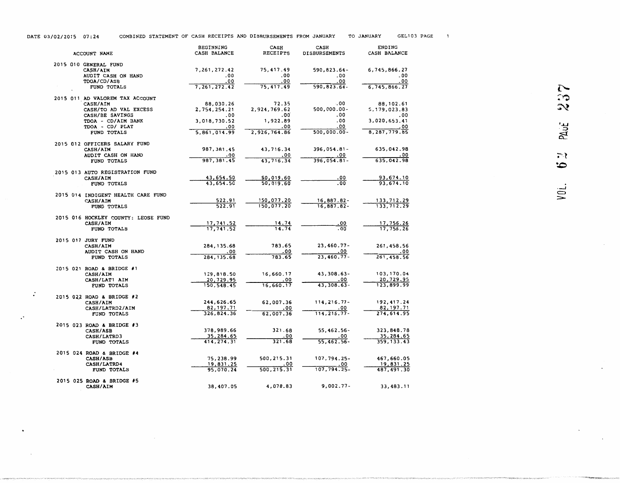| COMBINED STATEMENT OF CASH RECEIPTS AND DISBURSEMENTS FROM JANUARY<br>DATE 03/02/2015 07:24 | TO JANUARY | GEL103 PAGE |
|---------------------------------------------------------------------------------------------|------------|-------------|
|---------------------------------------------------------------------------------------------|------------|-------------|

| ACCOUNT NAME                                                                                                                                    | <b>BEGINNING</b><br>CASH BALANCE                                        | CASH<br>RECEIPTS                                                | CASH<br><b>DISBURSEMENTS</b>                           | ENDING<br>CASH BALANCE                                                    |                                   |
|-------------------------------------------------------------------------------------------------------------------------------------------------|-------------------------------------------------------------------------|-----------------------------------------------------------------|--------------------------------------------------------|---------------------------------------------------------------------------|-----------------------------------|
| 2015 010 GENERAL FUND<br>CASH/AIM<br>AUDIT CASH ON HAND<br>TDOA/CD/ASB<br>FUND TOTALS                                                           | 7,261,272.42<br>.00<br>.00<br>7, 261, 272.42                            | 75,417.49<br>.00<br>. 00<br>75,417.49                           | 590,823.64-<br>.00<br>. 00<br>$590, 823.64 -$          | 6,745,866.27<br>- 00<br>. 00<br>6,745,866.27                              | $\sim$                            |
| 2015 011 AD VALOREM TAX ACCOUNT<br>CASH/AIM<br>CASH/TO AD VAL EXCESS<br>CASH/BE SAVINGS<br>TDOA - CD/AIM BANK<br>TDOA - CD/ PLAT<br>FUND TOTALS | 88,030.26<br>2,754,254.21<br>.00<br>3,018,730.52<br>.00<br>5,861,014.99 | 72.35<br>2,924,769.62<br>.00<br>1,922.89<br>.00<br>2,926,764.86 | .00<br>500,000.00-<br>.00<br>.00<br>.00<br>500,000.00- | 88, 102.61<br>5,179,023.83<br>.00<br>3,020,653.41<br>- 00<br>8,287,779.85 | ా<br>$\infty$<br>PAUL             |
| 2015 012 OFFICERS SALARY FUND<br><b>CASH/AIM</b><br>AUDIT CASH ON HAND<br>FUND TOTALS                                                           | 987, 381.45<br>.00<br>987, 381.45                                       | 43,716.34<br>.00<br>43,716.34                                   | 396,054.81-<br>. 00<br>$396,054.81 -$                  | 635,042.98<br>0٥.<br>635,042.98                                           | $\tilde{\cdot}$<br>$\ddot{\circ}$ |
| 2015 013 AUTO REGISTRATION FUND<br><b>CASH/AIM</b><br>FUND TOTALS                                                                               | 43,654.50<br>43,654.50                                                  | 50,019.60<br>50,019.60                                          | .00<br>- 00                                            | 93,674.10<br>93,674.10                                                    |                                   |
| 2015 014 INDIGENT HEALTH CARE FUND<br>CASH/AIM<br>FUND TOTALS                                                                                   | 522.91<br>522.91                                                        | 150,077.20<br>150,077.20                                        | 16,887.82-<br>16,887.82-                               | 133,712.29<br>133,712.29                                                  | VOL.                              |
| 2015 016 HOCKLEY COUNTY: LEOSE FUND<br>CASH/AIM<br>FUND TOTALS                                                                                  | 17, 741.52<br>17,741.52                                                 | 14.74<br>14.74                                                  | <u>.00</u><br>. 00                                     | 17,756.26<br>17,756.26                                                    |                                   |
| 2015 017 JURY FUND<br><b>CASH/AIM</b><br>AUDIT CASH ON HAND<br>FUND TOTALS                                                                      | 284, 135.68<br>. 00<br>284, 135.68                                      | 783.65<br>0٥.<br>783.65                                         | $23,460.77 -$<br>. 00<br>$23,460.77 -$                 | 261,458.56<br>.00<br>261,458.56                                           |                                   |
| 2015 021 ROAD & BRIDGE #1<br>CASH/AIM<br>CASH/LAT1 AIM<br>FUND TOTALS                                                                           | 129,818.50<br>20,729.95<br>150, 548.45                                  | 16,660.17<br>. 00<br>16,660.17                                  | 43, 308.63-<br>.00<br>$43,308.63 -$                    | 103,170.04<br>20,729.95<br>123,899.99                                     |                                   |
| 2015 022 ROAD & BRIDGE #2<br><b>CASH/AIM</b><br>CASH/LATRD2/AIM<br>FUND TOTALS                                                                  | 244,626.65<br>82, 197. 71<br>326,824.36                                 | 62,007.36<br>.00<br>62,007.36                                   | $114, 216.77 -$<br>. 00<br>$114, 216.77 -$             | 192,417.24<br>82, 197. 71<br>274,614.95                                   |                                   |
| 2015 023 ROAD & BRIDGE #3<br><b>CASH/ASB</b><br>CASH/LATRD3<br>FUND TOTALS                                                                      | 378,989.66<br>35,284.65<br>414, 274.31                                  | 321.68<br>. 00<br>321.68                                        | 55,462.56-<br>. 00<br>55,462.56-                       | 323,848.78<br>35,284.65<br>359, 133.43                                    |                                   |
| 2015 024 ROAD & BRIDGE #4<br><b>CASH/ASB</b><br>CASH/LATRD4<br>FUND TOTALS                                                                      | 75,238.99<br>19,831.25<br>95,070.24                                     | 500,215.31<br>. 00<br>500, 215.31                               | 107,794.25-<br>. 00<br>$107,794.25-$                   | 467,660.05<br>19,831.25<br>487, 491.30                                    |                                   |
| 2015 025 ROAD & BRIDGE #5<br>CASH/AIM                                                                                                           | 38,407.05                                                               | 4,078.83                                                        | $9,002.77 -$                                           | 33,483.11                                                                 |                                   |

.  $\dot{}$ 

 $\cdot$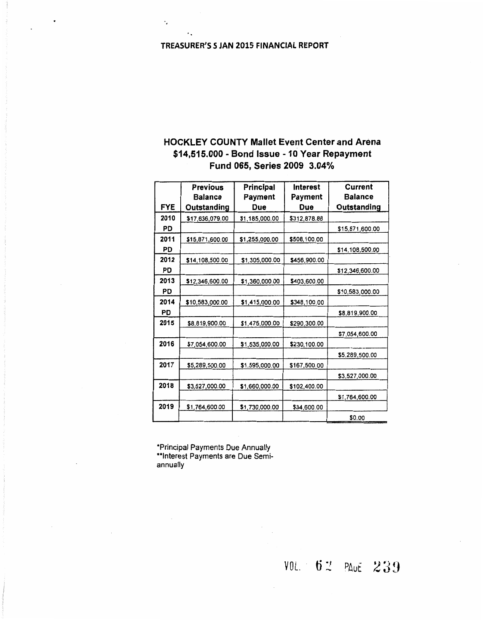#### TREASURER'S S JAN 2015 FINANCIAL REPORT

 $\ddot{\phantom{a}}$ 

 $\ddot{\phantom{a}}$ 

#### HOCKLEY COUNTY Mallet Event Center and Arena \$14,515.000 - Bond Issue - 10 Year Repayment Fund 065, Series 2009 3.04%

|            | <b>Previous</b><br><b>Balance</b> | Principal      | <b>Interest</b> | Current<br><b>Balance</b> |
|------------|-----------------------------------|----------------|-----------------|---------------------------|
| <b>FYE</b> | Outstanding                       | Payment<br>Due | Payment<br>Due  | Outstanding               |
| 2010       |                                   |                |                 |                           |
|            | \$17,636,079.00                   | \$1,185,000.00 | \$312,878.88    |                           |
| PD         |                                   |                |                 | \$15,871,600.00           |
| 2011       | \$15,871,600.00                   | \$1,255,000.00 | \$508,100.00    |                           |
| PD         |                                   |                |                 | \$14,108,500.00           |
| 2012       | \$14,108,500.00                   | \$1,305,000.00 | \$456,900.00    |                           |
| PD         |                                   |                |                 | \$12,346,600.00           |
| 2013       | \$12,346,600.00                   | \$1,360,000.00 | \$403,600.00    |                           |
| PD         |                                   |                |                 | \$10,583,000.00           |
| 2014       | \$10,583,000.00                   | \$1,415,000.00 | \$348,100.00    |                           |
| PD         |                                   |                |                 | \$8,819,900.00            |
| 2015       | \$8,819,900.00                    | \$1,475,000.00 | \$290,300.00    |                           |
|            |                                   |                |                 | \$7,054,600.00            |
| 2016       | \$7,054,600.00                    | \$1,535,000.00 | \$230,100.00    |                           |
|            |                                   |                |                 | \$5,289,500.00            |
| 2017       | \$5,289,500.00                    | \$1,595,000.00 | \$167,500.00    |                           |
|            |                                   |                |                 | \$3,527,000.00            |
| 2018       | \$3,527,000.00                    | \$1,660,000.00 | \$102,400.00    |                           |
|            |                                   |                |                 | \$1,764,600.00            |
| 2019       | \$1,764,600.00                    | \$1,730,000.00 | \$34,600.00     |                           |
|            |                                   |                |                 | \$0.00                    |

\*Principal Payments Due Annually \*\*Interest Payments are Due Semiannually

VOL. 62 PAUE 239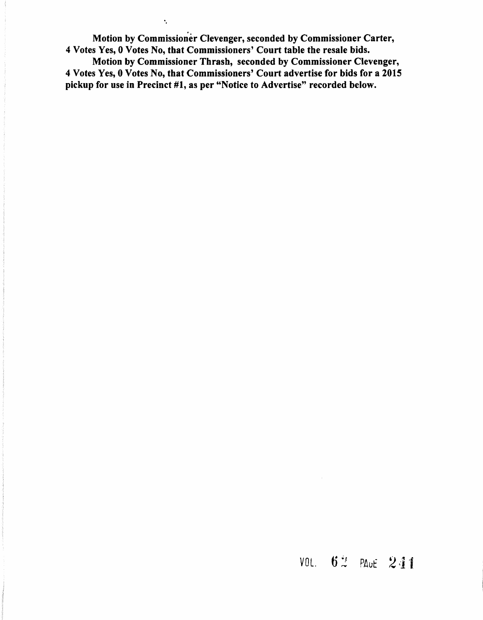Motion by Commissioner Clevenger, seconded by Commissioner Carter, 4 Votes Yes, 0 Votes No, that Commissioners' Court table the resale bids.

·.

Motion by Commissioner Thrash, seconded by Commissioner Clevenger, 4 Votes Yes, 0 Votes No, that Commissioners' Court advertise for bids for a 2015 pickup for use in Precinct #1, as per "Notice to Advertise" recorded below.

### $VOL. 62$  PAUE 241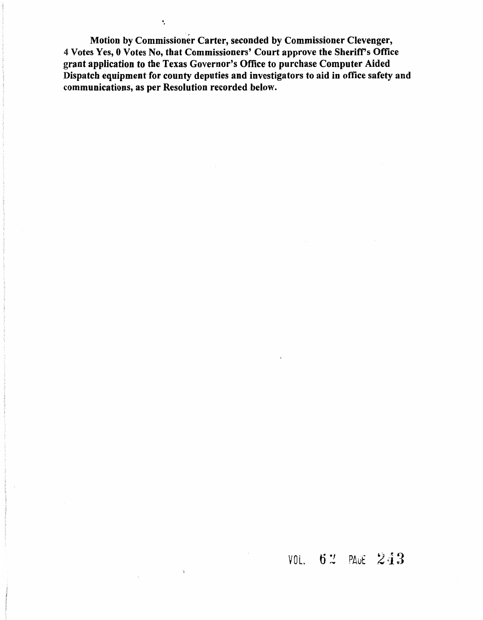Motion by Commissioner Carter, seconded by Commissioner Clevenger, 4 Votes Yes, 0 Votes No, that Commissioners' Court approve the Sheriff's Office grant application to the Texas Governor's Office to purchase Computer Aided Dispatch equipment for county deputies and investigators to aid in office safety and communications, as per Resolution recorded below.

·.

 $\chi^2_0$ 

## VOL. 62 PAGE 243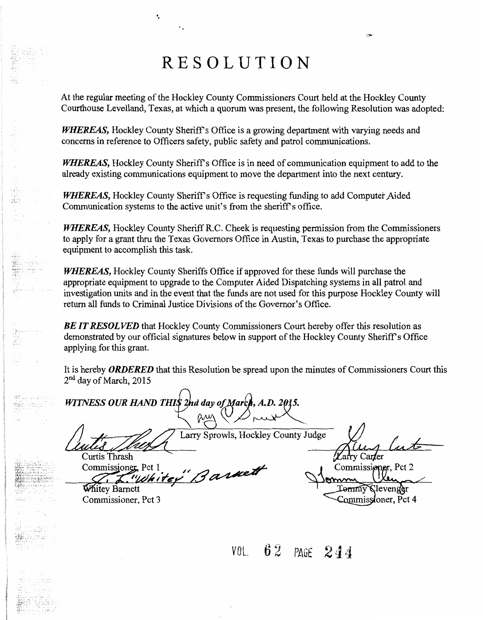# RESOLUTION

. .

At the regular meeting of the Hockley County Commissioners Court held at the Hockley County Courthouse Levelland, Texas, at which a quorum was present, the following Resolution was adopted:

*WHEREAS*, Hockley County Sheriff's Office is a growing department with varying needs and concerns in reference to Officers safety, public safety and patrol communications.

*WHEREAS,* Hockley County Sheriff's Office is in need of communication equipment to add to the already existing communications equipment to move the department into the next century.

*WHEREAS*, Hockley County Sheriff's Office is requesting funding to add Computer Aided Communication systems to the active unit's from the sheriff's office.

*WHEREAS,* Hockley County Sheriff R.C. Cheek is requesting permission from the Commissioners to apply for a grant thru the Texas Governors Office in Austin, Texas to purchase the appropriate equipment to accomplish this task.

*WHEREAS,* Hockley County Sheriffs Office if approved for these funds will purchase the appropriate equipment to upgrade to the Computer Aided Dispatching systems in all patrol and investigation units and in the event that the funds are not used for this purpose Hockley County will return all funds to Criminal Justice Divisions of the Governor's Office.

**BE IT RESOLVED** that Hockley County Commissioners Court hereby offer this resolution as demonstrated by our official signatures below in support of the Hockley County Sheriff's Office applying for this grant.

It is hereby *ORDERED* that this Resolution be spread upon the minutes of Commissioners Court this 2<sup>nd</sup> day of March, 2015

*WITNESS OUR HAND THIS 2nd day of March, A.D. 2015.* 

X

Larry Sprowls, Hockley County Judge

 $\frac{1}{\lambda}$  functional

Curtis Thrash Commissioner, Pct 1 Whitey Bannett

rv Car**l**er Commissioner, Pct 2 Lennny Clevenger Commissioner, Pct 4

Commissioner, Pct 3

VOL.  $62$  PAGE  $244$